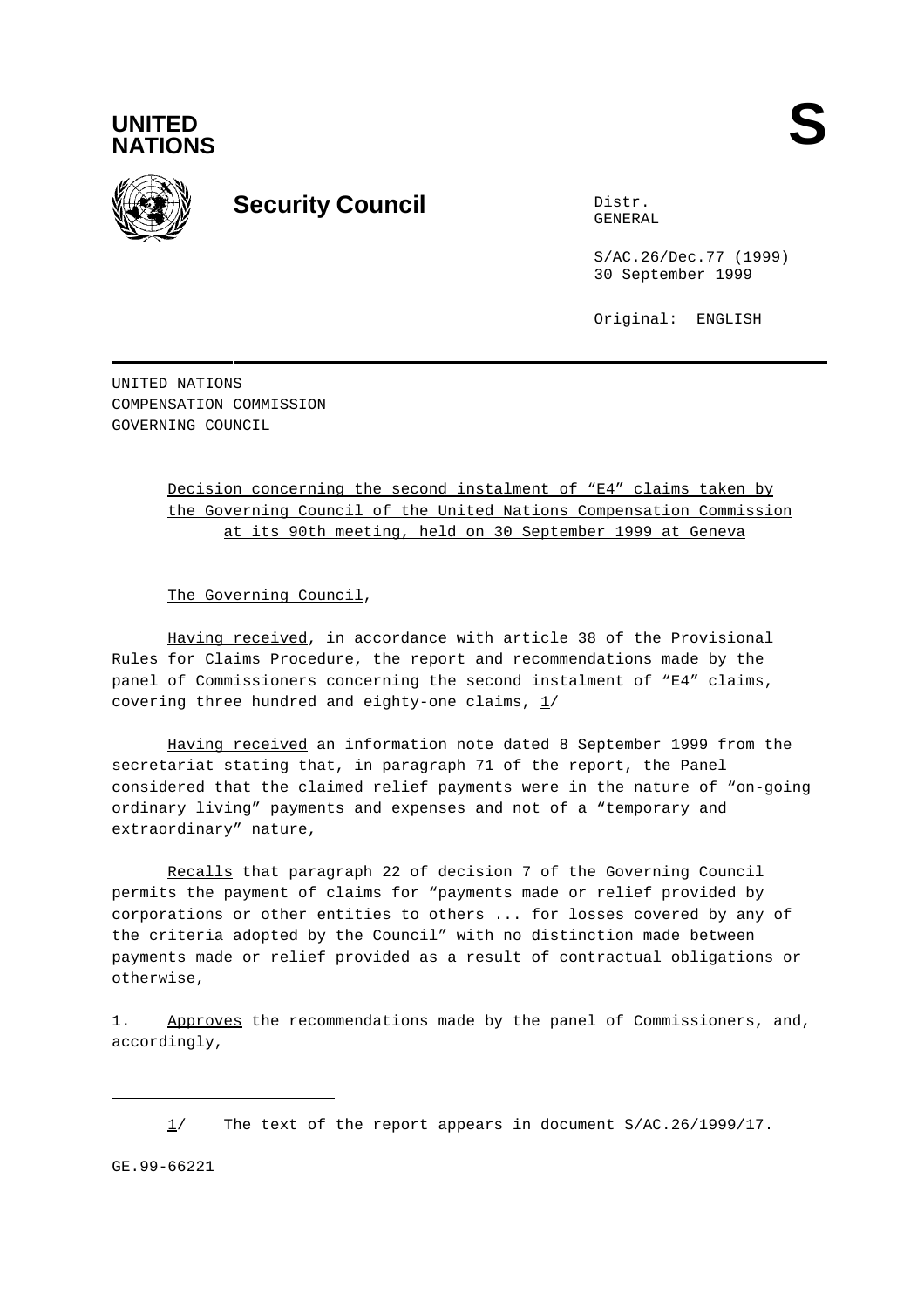



## **Security Council** Distribution Distribution

GENERAL

S/AC.26/Dec.77 (1999) 30 September 1999

Original: ENGLISH

UNITED NATIONS COMPENSATION COMMISSION GOVERNING COUNCIL

> Decision concerning the second instalment of "E4" claims taken by the Governing Council of the United Nations Compensation Commission at its 90th meeting, held on 30 September 1999 at Geneva

The Governing Council,

Having received, in accordance with article 38 of the Provisional Rules for Claims Procedure, the report and recommendations made by the panel of Commissioners concerning the second instalment of "E4" claims, covering three hundred and eighty-one claims,  $1/$ 

Having received an information note dated 8 September 1999 from the secretariat stating that, in paragraph 71 of the report, the Panel considered that the claimed relief payments were in the nature of "on-going ordinary living" payments and expenses and not of a "temporary and extraordinary" nature,

Recalls that paragraph 22 of decision 7 of the Governing Council permits the payment of claims for "payments made or relief provided by corporations or other entities to others ... for losses covered by any of the criteria adopted by the Council" with no distinction made between payments made or relief provided as a result of contractual obligations or otherwise,

1. Approves the recommendations made by the panel of Commissioners, and, accordingly,

GE.99-66221

<sup>1/</sup> The text of the report appears in document S/AC.26/1999/17.